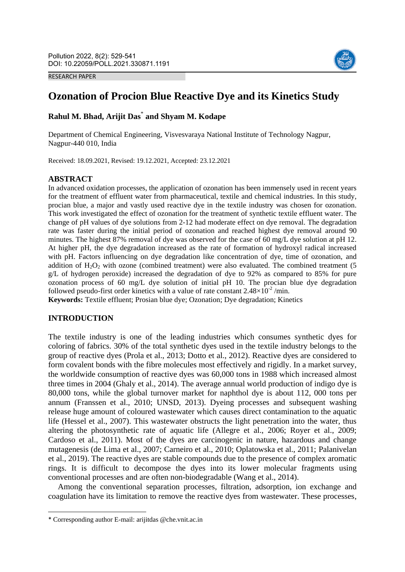RESEARCH PAPER



# **Ozonation of Procion Blue Reactive Dye and its Kinetics Study**

# **Rahul M. Bhad, Arijit Das**\* **and Shyam M. Kodape**

Department of Chemical Engineering, Visvesvaraya National Institute of Technology Nagpur, Nagpur-440 010, India

Received: 18.09.2021, Revised: 19.12.2021, Accepted: 23.12.2021

#### **ABSTRACT**

In advanced oxidation processes, the application of ozonation has been immensely used in recent years for the treatment of effluent water from pharmaceutical, textile and chemical industries. In this study, procian blue, a major and vastly used reactive dye in the textile industry was chosen for ozonation. This work investigated the effect of ozonation for the treatment of synthetic textile effluent water. The change of pH values of dye solutions from 2-12 had moderate effect on dye removal. The degradation rate was faster during the initial period of ozonation and reached highest dye removal around 90 minutes. The highest 87% removal of dye was observed for the case of 60 mg/L dye solution at pH 12. At higher pH, the dye degradation increased as the rate of formation of hydroxyl radical increased with pH. Factors influencing on dye degradation like concentration of dye, time of ozonation, and addition of  $H_2O_2$  with ozone (combined treatment) were also evaluated. The combined treatment (5 g/L of hydrogen peroxide) increased the degradation of dye to 92% as compared to 85% for pure ozonation process of 60 mg/L dye solution of initial pH 10. The procian blue dye degradation followed pseudo-first order kinetics with a value of rate constant  $2.48 \times 10^{-2}$ /min.

**Keywords:** Textile effluent; Prosian blue dye; Ozonation; Dye degradation; Kinetics

# **INTRODUCTION**

**.** 

The textile industry is one of the leading industries which consumes synthetic dyes for coloring of fabrics. 30% of the total synthetic dyes used in the textile industry belongs to the group of reactive dyes (Prola et al., 2013; Dotto et al., 2012). Reactive dyes are considered to form covalent bonds with the fibre molecules most effectively and rigidly. In a market survey, the worldwide consumption of reactive dyes was 60,000 tons in 1988 which increased almost three times in 2004 (Ghaly et al., 2014). The average annual world production of indigo dye is 80,000 tons, while the global turnover market for naphthol dye is about 112, 000 tons per annum (Franssen et al., 2010; UNSD, 2013). Dyeing processes and subsequent washing release huge amount of coloured wastewater which causes direct contamination to the aquatic life (Hessel et al., 2007). This wastewater obstructs the light penetration into the water, thus altering the photosynthetic rate of aquatic life (Allegre et al., 2006; Royer et al., 2009; Cardoso et al., 2011). Most of the dyes are carcinogenic in nature, hazardous and change mutagenesis (de Lima et al., 2007; Carneiro et al., 2010; Oplatowska et al., 2011; Palanivelan et al., 2019). The reactive dyes are stable compounds due to the presence of complex aromatic rings. It is difficult to decompose the dyes into its lower molecular fragments using conventional processes and are often non-biodegradable (Wang et al., 2014).

Among the conventional separation processes, filtration, adsorption, ion exchange and coagulation have its limitation to remove the reactive dyes from wastewater. These processes,

<sup>\*</sup> Corresponding author E-mail: arijitdas @che.vnit.ac.in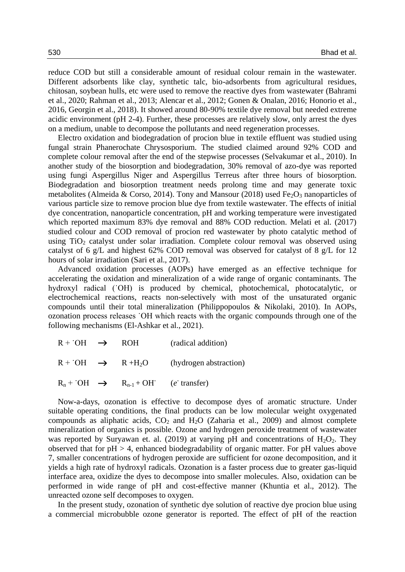reduce COD but still a considerable amount of residual colour remain in the wastewater. Different adsorbents like clay, synthetic talc, bio-adsorbents from agricultural residues, chitosan, soybean hulls, etc were used to remove the reactive dyes from wastewater (Bahrami et al., 2020; Rahman et al., 2013; Alencar et al., 2012; Gonen & Onalan, 2016; Honorio et al., 2016, Georgin et al., 2018). It showed around 80-90% textile dye removal but needed extreme acidic environment (pH 2-4). Further, these processes are relatively slow, only arrest the dyes on a medium, unable to decompose the pollutants and need regeneration processes.

Electro oxidation and biodegradation of procion blue in textile effluent was studied using fungal strain Phanerochate Chrysosporium. The studied claimed around 92% COD and complete colour removal after the end of the stepwise processes (Selvakumar et al., 2010). In another study of the biosorption and biodegradation, 30% removal of azo-dye was reported using fungi Aspergillus Niger and Aspergillus Terreus after three hours of biosorption. Biodegradation and biosorption treatment needs prolong time and may generate toxic metabolites (Almeida & Corso, 2014). Tony and Mansour (2018) used  $Fe<sub>2</sub>O<sub>3</sub>$  nanoparticles of various particle size to remove procion blue dye from textile wastewater. The effects of initial dye concentration, nanoparticle concentration, pH and working temperature were investigated which reported maximum 83% dye removal and 88% COD reduction. Melati et al. (2017) studied colour and COD removal of procion red wastewater by photo catalytic method of using  $TiO<sub>2</sub>$  catalyst under solar irradiation. Complete colour removal was observed using catalyst of 6 g/L and highest 62% COD removal was observed for catalyst of 8 g/L for 12 hours of solar irradiation (Sari et al., 2017).

Advanced oxidation processes (AOPs) have emerged as an effective technique for accelerating the oxidation and mineralization of a wide range of organic contaminants. The hydroxyl radical (<sup>†</sup>OH) is produced by chemical, photochemical, photocatalytic, or electrochemical reactions, reacts non-selectively with most of the unsaturated organic compounds until their total mineralization (Philippopoulos & Nikolaki, 2010). In AOPs, ozonation process releases ˙OH which reacts with the organic compounds through one of the following mechanisms (El-Ashkar et al., 2021).

| $R + O2$ $\rightarrow$                                       | – ROH | (radical addition)     |
|--------------------------------------------------------------|-------|------------------------|
| $R + {}^{0}H \rightarrow R + H_{2}O$                         |       | (hydrogen abstraction) |
| $R_n$ + OH $\rightarrow$ $R_{n-1}$ + OH ( <i>e</i> transfer) |       |                        |

Now-a-days, ozonation is effective to decompose dyes of aromatic structure. Under suitable operating conditions, the final products can be low molecular weight oxygenated compounds as aliphatic acids,  $CO<sub>2</sub>$  and  $H<sub>2</sub>O$  (Zaharia et al., 2009) and almost complete mineralization of organics is possible. Ozone and hydrogen peroxide treatment of wastewater was reported by Suryawan et. al. (2019) at varying pH and concentrations of  $H_2O_2$ . They observed that for pH > 4, enhanced biodegradability of organic matter. For pH values above 7, smaller concentrations of hydrogen peroxide are sufficient for ozone decomposition, and it yields a high rate of hydroxyl radicals. Ozonation is a faster process due to greater gas-liquid interface area, oxidize the dyes to decompose into smaller molecules. Also, oxidation can be performed in wide range of pH and cost-effective manner (Khuntia et al., 2012). The unreacted ozone self decomposes to oxygen.

In the present study, ozonation of synthetic dye solution of reactive dye procion blue using a commercial microbubble ozone generator is reported. The effect of pH of the reaction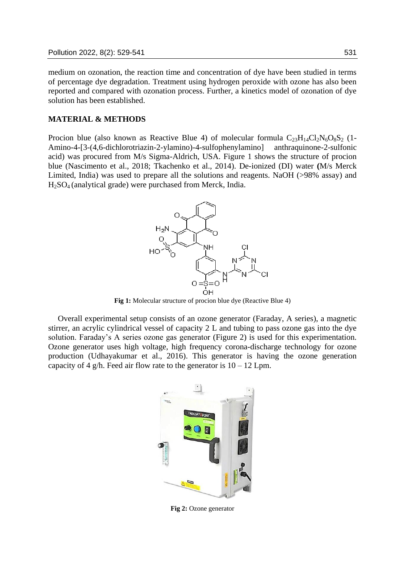medium on ozonation, the reaction time and concentration of dye have been studied in terms of percentage dye degradation. Treatment using hydrogen peroxide with ozone has also been reported and compared with ozonation process. Further, a kinetics model of ozonation of dye solution has been established.

## **MATERIAL & METHODS**

Procion blue (also known as Reactive Blue 4) of molecular formula  $C_{23}H_{14}Cl_2N_6O_8S_2$  (1-Amino-4-[3-(4,6-dichlorotriazin-2-ylamino)-4-sulfophenylamino] anthraquinone-2-sulfonic acid) was procured from M/s Sigma-Aldrich, USA. Figure 1 shows the structure of procion blue (Nascimento et al., 2018; Tkachenko et al., 2014). De-ionized (DI) water **(**M/s Merck Limited, India) was used to prepare all the solutions and reagents. NaOH (>98% assay) and H2SO4 (analytical grade) were purchased from Merck, India.



**Fig 1:** Molecular structure of procion blue dye (Reactive Blue 4)

Overall experimental setup consists of an ozone generator (Faraday, A series), a magnetic stirrer, an acrylic cylindrical vessel of capacity 2 L and tubing to pass ozone gas into the dye solution. Faraday's A series ozone gas generator (Figure 2) is used for this experimentation. Ozone generator uses high voltage, high frequency corona-discharge technology for ozone production (Udhayakumar et al., 2016). This generator is having the ozone generation capacity of 4 g/h. Feed air flow rate to the generator is  $10 - 12$  Lpm.



**Fig 2:** Ozone generator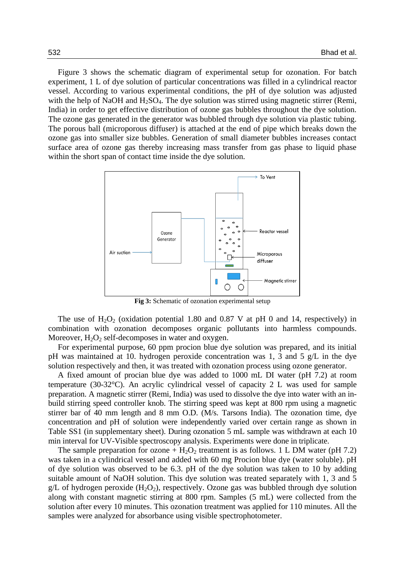Figure 3 shows the schematic diagram of experimental setup for ozonation. For batch experiment, 1 L of dye solution of particular concentrations was filled in a cylindrical reactor vessel. According to various experimental conditions, the pH of dye solution was adjusted with the help of NaOH and  $H_2SO_4$ . The dye solution was stirred using magnetic stirrer (Remi, India) in order to get effective distribution of ozone gas bubbles throughout the dye solution. The ozone gas generated in the generator was bubbled through dye solution via plastic tubing. The porous ball (microporous diffuser) is attached at the end of pipe which breaks down the ozone gas into smaller size bubbles. Generation of small diameter bubbles increases contact surface area of ozone gas thereby increasing mass transfer from gas phase to liquid phase within the short span of contact time inside the dye solution.



**Fig 3:** Schematic of ozonation experimental setup

The use of  $H_2O_2$  (oxidation potential 1.80 and 0.87 V at pH 0 and 14, respectively) in combination with ozonation decomposes organic pollutants into harmless compounds. Moreover,  $H_2O_2$  self-decomposes in water and oxygen.

For experimental purpose, 60 ppm procion blue dye solution was prepared, and its initial pH was maintained at 10. hydrogen peroxide concentration was 1, 3 and 5 g/L in the dye solution respectively and then, it was treated with ozonation process using ozone generator.

A fixed amount of procian blue dye was added to 1000 mL DI water (pH 7.2) at room temperature (30-32°C). An acrylic cylindrical vessel of capacity 2 L was used for sample preparation. A magnetic stirrer (Remi, India) was used to dissolve the dye into water with an inbuild stirring speed controller knob. The stirring speed was kept at 800 rpm using a magnetic stirrer bar of 40 mm length and 8 mm O.D. (M/s. Tarsons India). The ozonation time, dye concentration and pH of solution were independently varied over certain range as shown in Table SS1 (in supplementary sheet). During ozonation 5 mL sample was withdrawn at each 10 min interval for UV-Visible spectroscopy analysis. Experiments were done in triplicate.

The sample preparation for ozone +  $H_2O_2$  treatment is as follows. 1 L DM water (pH 7.2) was taken in a cylindrical vessel and added with 60 mg Procion blue dye (water soluble). pH of dye solution was observed to be 6.3. pH of the dye solution was taken to 10 by adding suitable amount of NaOH solution. This dye solution was treated separately with 1, 3 and 5 g/L of hydrogen peroxide  $(H_2O_2)$ , respectively. Ozone gas was bubbled through dye solution along with constant magnetic stirring at 800 rpm. Samples (5 mL) were collected from the solution after every 10 minutes. This ozonation treatment was applied for 110 minutes. All the samples were analyzed for absorbance using visible spectrophotometer.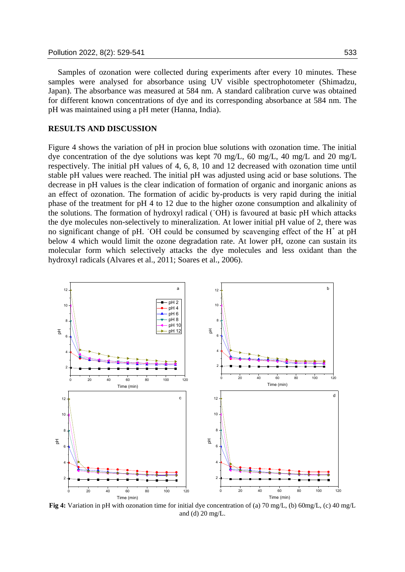Samples of ozonation were collected during experiments after every 10 minutes. These samples were analysed for absorbance using UV visible spectrophotometer (Shimadzu, Japan). The absorbance was measured at 584 nm. A standard calibration curve was obtained for different known concentrations of dye and its corresponding absorbance at 584 nm. The pH was maintained using a pH meter (Hanna, India).

#### **RESULTS AND DISCUSSION**

Figure 4 shows the variation of pH in procion blue solutions with ozonation time. The initial dye concentration of the dye solutions was kept 70 mg/L, 60 mg/L, 40 mg/L and 20 mg/L respectively. The initial pH values of 4, 6, 8, 10 and 12 decreased with ozonation time until stable pH values were reached. The initial pH was adjusted using acid or base solutions. The decrease in pH values is the clear indication of formation of organic and inorganic anions as an effect of ozonation. The formation of acidic by-products is very rapid during the initial phase of the treatment for pH 4 to 12 due to the higher ozone consumption and alkalinity of the solutions. The formation of hydroxyl radical (˙OH) is favoured at basic pH which attacks the dye molecules non-selectively to mineralization. At lower initial pH value of 2, there was no significant change of pH. OH could be consumed by scavenging effect of the  $H^+$  at pH below 4 which would limit the ozone degradation rate. At lower pH, ozone can sustain its molecular form which selectively attacks the dye molecules and less oxidant than the hydroxyl radicals (Alvares et al., 2011; Soares et al., 2006).



**Fig 4:** Variation in pH with ozonation time for initial dye concentration of (a) 70 mg/L, (b) 60mg/L, (c) 40 mg/L and (d) 20 mg/L.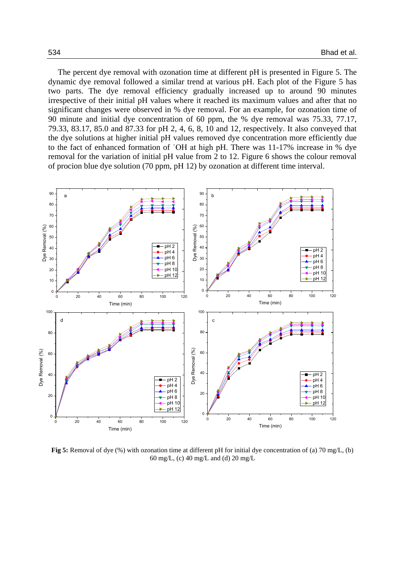The percent dye removal with ozonation time at different pH is presented in Figure 5. The dynamic dye removal followed a similar trend at various pH. Each plot of the Figure 5 has two parts. The dye removal efficiency gradually increased up to around 90 minutes irrespective of their initial pH values where it reached its maximum values and after that no significant changes were observed in % dye removal. For an example, for ozonation time of 90 minute and initial dye concentration of 60 ppm, the % dye removal was 75.33, 77.17, 79.33, 83.17, 85.0 and 87.33 for pH 2, 4, 6, 8, 10 and 12, respectively. It also conveyed that the dye solutions at higher initial pH values removed dye concentration more efficiently due to the fact of enhanced formation of ˙OH at high pH. There was 11-17% increase in % dye removal for the variation of initial pH value from 2 to 12. Figure 6 shows the colour removal of procion blue dye solution (70 ppm, pH 12) by ozonation at different time interval.



**Fig 5:** Removal of dye (%) with ozonation time at different pH for initial dye concentration of (a) 70 mg/L, (b) 60 mg/L, (c) 40 mg/L and (d) 20 mg/L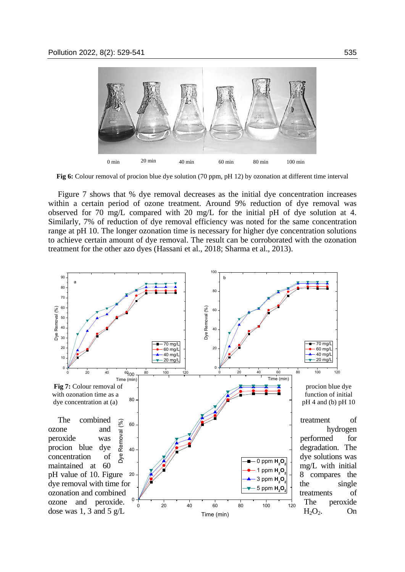

**Fig 6:** Colour removal of procion blue dye solution (70 ppm, pH 12) by ozonation at different time interval

Figure 7 shows that % dye removal decreases as the initial dye concentration increases within a certain period of ozone treatment. Around 9% reduction of dye removal was observed for 70 mg/L compared with 20 mg/L for the initial pH of dye solution at 4. Similarly, 7% of reduction of dye removal efficiency was noted for the same concentration range at pH 10. The longer ozonation time is necessary for higher dye concentration solutions to achieve certain amount of dye removal. The result can be corroborated with the ozonation treatment for the other azo dyes (Hassani et al., 2018; Sharma et al., 2013).

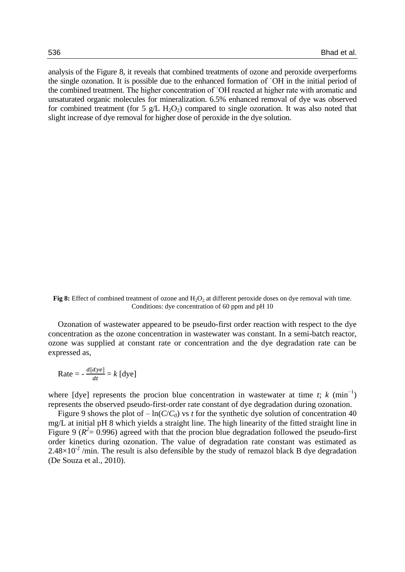analysis of the Figure 8, it reveals that combined treatments of ozone and peroxide overperforms the single ozonation. It is possible due to the enhanced formation of ˙OH in the initial period of the combined treatment. The higher concentration of ˙OH reacted at higher rate with aromatic and unsaturated organic molecules for mineralization. 6.5% enhanced removal of dye was observed for combined treatment (for 5 g/L H<sub>2</sub>O<sub>2</sub>) compared to single ozonation. It was also noted that slight increase of dye removal for higher dose of peroxide in the dye solution.

Fig 8: Effect of combined treatment of ozone and H<sub>2</sub>O<sub>2</sub> at different peroxide doses on dye removal with time. Conditions: dye concentration of 60 ppm and pH 10

Ozonation of wastewater appeared to be pseudo-first order reaction with respect to the dye concentration as the ozone concentration in wastewater was constant. In a semi-batch reactor, ozone was supplied at constant rate or concentration and the dye degradation rate can be expressed as,

$$
Rate = -\frac{d[dye]}{dt} = k \text{ [dye]}
$$

where  $[dye]$  represents the procion blue concentration in wastewater at time *t*; *k* (min<sup>-1</sup>) represents the observed pseudo-first-order rate constant of dye degradation during ozonation.

Figure 9 shows the plot of  $-\ln(C/C_0)$  vs *t* for the synthetic dye solution of concentration 40 mg/L at initial pH 8 which yields a straight line. The high linearity of the fitted straight line in Figure 9 ( $R^2$  = 0.996) agreed with that the procion blue degradation followed the pseudo-first order kinetics during ozonation. The value of degradation rate constant was estimated as  $2.48\times10^{-2}$ /min. The result is also defensible by the study of remazol black B dye degradation (De Souza et al., 2010).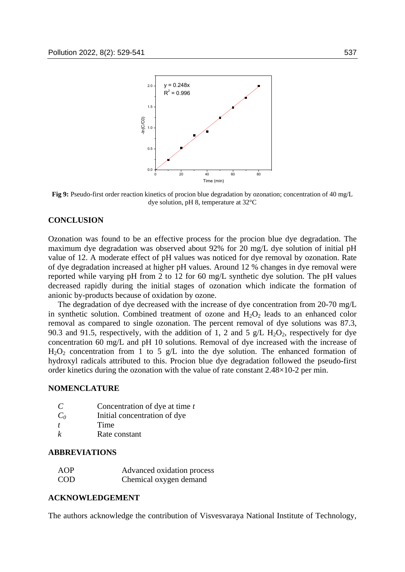

**Fig 9:** Pseudo-first order reaction kinetics of procion blue degradation by ozonation; concentration of 40 mg/L dye solution, pH 8, temperature at 32°C

#### **CONCLUSION**

Ozonation was found to be an effective process for the procion blue dye degradation. The maximum dye degradation was observed about 92% for 20 mg/L dye solution of initial pH value of 12. A moderate effect of pH values was noticed for dye removal by ozonation. Rate of dye degradation increased at higher pH values. Around 12 % changes in dye removal were reported while varying pH from 2 to 12 for 60 mg/L synthetic dye solution. The pH values decreased rapidly during the initial stages of ozonation which indicate the formation of anionic by-products because of oxidation by ozone.

The degradation of dye decreased with the increase of dye concentration from 20-70 mg/L in synthetic solution. Combined treatment of ozone and  $H_2O_2$  leads to an enhanced color removal as compared to single ozonation. The percent removal of dye solutions was 87.3, 90.3 and 91.5, respectively, with the addition of 1, 2 and 5  $g/L$  H<sub>2</sub>O<sub>2</sub>, respectively for dye concentration 60 mg/L and pH 10 solutions. Removal of dye increased with the increase of  $H<sub>2</sub>O<sub>2</sub>$  concentration from 1 to 5 g/L into the dye solution. The enhanced formation of hydroxyl radicals attributed to this. Procion blue dye degradation followed the pseudo-first order kinetics during the ozonation with the value of rate constant 2.48×10-2 per min.

#### **NOMENCLATURE**

| C                | Concentration of dye at time t |
|------------------|--------------------------------|
| $C_0$            | Initial concentration of dye   |
| $\boldsymbol{t}$ | Time                           |
| k                | Rate constant                  |

#### **ABBREVIATIONS**

| AOP        | Advanced oxidation process |
|------------|----------------------------|
| <b>COD</b> | Chemical oxygen demand     |

#### **ACKNOWLEDGEMENT**

The authors acknowledge the contribution of Visvesvaraya National Institute of Technology,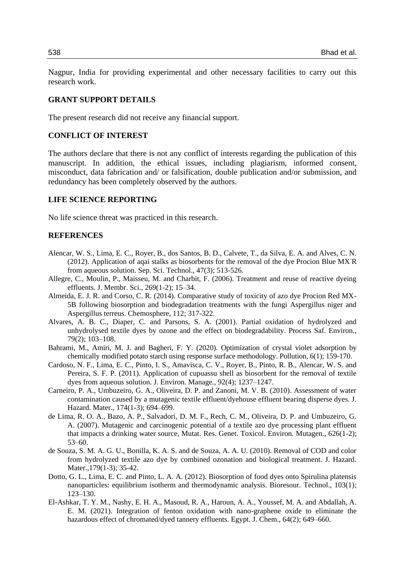Nagpur, India for providing experimental and other necessary facilities to carry out this research work.

#### **GRANT SUPPORT DETAILS**

The present research did not receive any financial support.

#### **CONFLICT OF INTEREST**

The authors declare that there is not any conflict of interests regarding the publication of this manuscript. In addition, the ethical issues, including plagiarism, informed consent, misconduct, data fabrication and/ or falsification, double publication and/or submission, and redundancy has been completely observed by the authors.

## **LIFE SCIENCE REPORTING**

No life science threat was practiced in this research.

### **REFERENCES**

- Alencar, W. S., Lima, E. C., Royer, B., dos Santos, B. D., Calvete, T., da Silva, E. A. and Alves, C. N. (2012). Application of aqai stalks as biosorbents for the removal of the dye Procion Blue MX-R from aqueous solution. Sep. Sci. Technol., 47(3); 513-526.
- Allegre, C., Moulin, P., Maisseu, M. and Charbit, F. (2006). Treatment and reuse of reactive dyeing effluents. J. Membr. Sci., 269(1-2); 15–34.
- Almeida, E. J. R. and Corso, C. R. (2014). Comparative study of toxicity of azo dye Procion Red MX-5B following biosorption and biodegradation treatments with the fungi Aspergillus niger and Aspergillus terreus. Chemosphere, 112; 317-322.
- Alvares, A. B. C., Diaper, C. and Parsons, S. A. (2001). Partial oxidation of hydrolyzed and unhydrolysed textile dyes by ozone and the effect on biodegradability. Process Saf. Environ., 79(2); 103–108.
- Bahrami, M., Amiri, M. J. and Bagheri, F. Y. (2020). Optimization of crystal violet adsorption by chemically modified potato starch using response surface methodology. Pollution, 6(1); 159-170.
- Cardoso, N. F., Lima, E. C., Pinto, I. S., Amavisca, C. V., Royer, B., Pinto, R. B., Alencar, W. S. and Pereira, S. F. P. (2011). Application of cupuassu shell as biosorbent for the removal of textile dyes from aqueous solution. J. Environ. Manage., 92(4); 1237–1247.
- Carneiro, P. A., Umbuzeiro, G. A., Oliveira, D. P. and Zanoni, M. V. B. (2010). Assessment of water contamination caused by a mutagenic textile effluent/dyehouse effluent bearing disperse dyes. J. Hazard. Mater., 174(1-3); 694–699.
- de Lima, R. O. A., Bazo, A. P., Salvadori, D. M. F., Rech, C. M., Oliveira, D. P. and Umbuzeiro, G. A. (2007). Mutagenic and carcinogenic potential of a textile azo dye processing plant effluent that impacts a drinking water source, Mutat. Res. Genet. Toxicol. Environ. Mutagen., 626(1-2); 53–60.
- de Souza, S. M. A. G. U., Bonilla, K. A. S. and de Souza, A. A. U. (2010). Removal of COD and color from hydrolyzed textile azo dye by combined ozonation and biological treatment. J. Hazard. Mater.,179(1-3); 35-42.
- Dotto, G. L., Lima, E. C. and Pinto, L. A. A. (2012). Biosorption of food dyes onto Spirulina platensis nanoparticles: equilibrium isotherm and thermodynamic analysis. Bioresour. Technol., 103(1); 123–130.
- El-Ashkar, T. Y. M., Nashy, E. H. A., Masoud, R. A., Haroun, A. A., Youssef, M. A. and Abdallah, A. E. M. (2021). Integration of fenton oxidation with nano-graphene oxide to eliminate the hazardous effect of chromated/dyed tannery effluents. Egypt. J. Chem., 64(2); 649–660.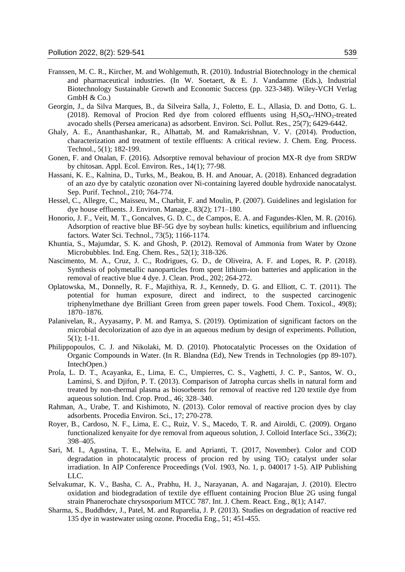- Franssen, M. C. R., Kircher, M. and Wohlgemuth, R. (2010). Industrial Biotechnology in the chemical and pharmaceutical industries. (In W. Soetaert, & E. J. Vandamme (Eds.), Industrial Biotechnology Sustainable Growth and Economic Success (pp. 323-348). Wiley-VCH Verlag GmbH & Co.)
- Georgin, J., da Silva Marques, B., da Silveira Salla, J., Foletto, E. L., Allasia, D. and Dotto, G. L. (2018). Removal of Procion Red dye from colored effluents using  $H_2SO_4$ -/HNO<sub>3</sub>-treated avocado shells (Persea americana) as adsorbent. Environ. Sci. Pollut. Res., 25(7); 6429-6442.
- Ghaly, A. E., Ananthashankar, R., Alhattab, M. and Ramakrishnan, V. V. (2014). Production, characterization and treatment of textile effluents: A critical review. J. Chem. Eng. Process. Technol., 5(1); 182-199.
- Gonen, F. and Onalan, F. (2016). Adsorptive removal behaviour of procion MX-R dye from SRDW by chitosan. Appl. Ecol. Environ. Res., 14(1); 77-98.
- Hassani, K. E., Kalnina, D., Turks, M., Beakou, B. H. and Anouar, A. (2018). Enhanced degradation of an azo dye by catalytic ozonation over Ni-containing layered double hydroxide nanocatalyst. Sep. Purif. Technol., 210; 764-774.
- Hessel, C., Allegre, C., Maisseu, M., Charbit, F. and Moulin, P. (2007). Guidelines and legislation for dye house effluents. J. Environ. Manage., 83(2); 171–180.
- Honorio, J. F., Veit, M. T., Goncalves, G. D. C., de Campos, E. A. and Fagundes-Klen, M. R. (2016). Adsorption of reactive blue BF-5G dye by soybean hulls: kinetics, equilibrium and influencing factors. Water Sci. Technol., 73(5); 1166-1174.
- Khuntia, S., Majumdar, S. K. and Ghosh, P. (2012). Removal of Ammonia from Water by Ozone Microbubbles. Ind. Eng. Chem. Res., 52(1); 318-326.
- Nascimento, M. A., Cruz, J. C., Rodrigues, G. D., de Oliveira, A. F. and Lopes, R. P. (2018). Synthesis of polymetallic nanoparticles from spent lithium-ion batteries and application in the removal of reactive blue 4 dye. J. Clean. Prod., 202; 264-272.
- Oplatowska, M., Donnelly, R. F., Majithiya, R. J., Kennedy, D. G. and Elliott, C. T. (2011). The potential for human exposure, direct and indirect, to the suspected carcinogenic triphenylmethane dye Brilliant Green from green paper towels. Food Chem. Toxicol., 49(8); 1870–1876.
- Palanivelan, R., Ayyasamy, P. M. and Ramya, S. (2019). Optimization of significant factors on the microbial decolorization of azo dye in an aqueous medium by design of experiments. Pollution, 5(1); 1-11.
- Philippopoulos, C. J. and Nikolaki, M. D. (2010). Photocatalytic Processes on the Oxidation of Organic Compounds in Water. (In R. Blandna (Ed), New Trends in Technologies (pp 89-107). IntechOpen.)
- Prola, L. D. T., Acayanka, E., Lima, E. C., Umpierres, C. S., Vaghetti, J. C. P., Santos, W. O., Laminsi, S. and Djifon, P. T. (2013). Comparison of Jatropha curcas shells in natural form and treated by non-thermal plasma as biosorbents for removal of reactive red 120 textile dye from aqueous solution. Ind. Crop. Prod., 46; 328–340.
- Rahman, A., Urabe, T. and Kishimoto, N. (2013). Color removal of reactive procion dyes by clay adsorbents. Procedia Environ. Sci., 17; 270-278.
- Royer, B., Cardoso, N. F., Lima, E. C., Ruiz, V. S., Macedo, T. R. and Airoldi, C. (2009). Organo functionalized kenyaite for dye removal from aqueous solution, J. Colloid Interface Sci., 336(2); 398–405.
- Sari, M. I., Agustina, T. E., Melwita, E. and Aprianti, T. (2017, November). Color and COD degradation in photocatalytic process of procion red by using  $TiO<sub>2</sub>$  catalyst under solar irradiation. In AIP Conference Proceedings (Vol. 1903, No. 1, p. 040017 1-5). AIP Publishing LLC.
- Selvakumar, K. V., Basha, C. A., Prabhu, H. J., Narayanan, A. and Nagarajan, J. (2010). Electro oxidation and biodegradation of textile dye effluent containing Procion Blue 2G using fungal strain Phanerochate chrysosporium MTCC 787. Int. J. Chem. React. Eng., 8(1); A147.
- Sharma, S., Buddhdev, J., Patel, M. and Ruparelia, J. P. (2013). Studies on degradation of reactive red 135 dye in wastewater using ozone. Procedia Eng., 51; 451-455.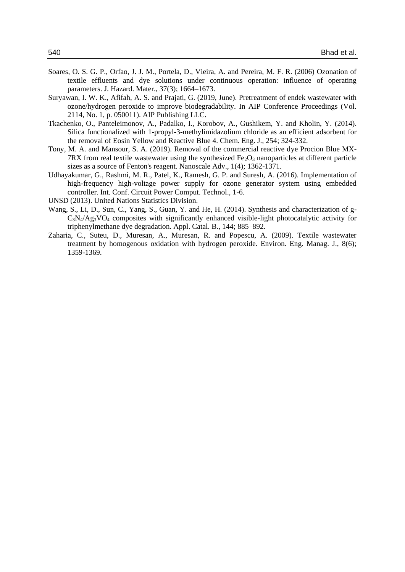- Soares, O. S. G. P., Orfao, J. J. M., Portela, D., Vieira, A. and Pereira, M. F. R. (2006) Ozonation of textile effluents and dye solutions under continuous operation: influence of operating parameters. J. Hazard. Mater., 37(3); 1664–1673.
- Suryawan, I. W. K., Afifah, A. S. and Prajati, G. (2019, June). Pretreatment of endek wastewater with ozone/hydrogen peroxide to improve biodegradability. In AIP Conference Proceedings (Vol. 2114, No. 1, p. 050011). AIP Publishing LLC.
- Tkachenko, O., Panteleimonov, A., Padalko, I., Korobov, A., Gushikem, Y. and Kholin, Y. (2014). Silica functionalized with 1-propyl-3-methylimidazolium chloride as an efficient adsorbent for the removal of Eosin Yellow and Reactive Blue 4. Chem. Eng. J., 254; 324-332.
- Tony, M. A. and Mansour, S. A. (2019). Removal of the commercial reactive dye Procion Blue MX-7RX from real textile wastewater using the synthesized  $Fe<sub>2</sub>O<sub>3</sub>$  nanoparticles at different particle sizes as a source of Fenton's reagent. Nanoscale Adv., 1(4); 1362-1371.
- Udhayakumar, G., Rashmi, M. R., Patel, K., Ramesh, G. P. and Suresh, A. (2016). Implementation of high-frequency high-voltage power supply for ozone generator system using embedded controller. Int. Conf. Circuit Power Comput. Technol., 1-6.
- UNSD (2013). United Nations Statistics Division.
- Wang, S., Li, D., Sun, C., Yang, S., Guan, Y. and He, H. (2014). Synthesis and characterization of g- $C_3N_4/Ag_3VO_4$  composites with significantly enhanced visible-light photocatalytic activity for triphenylmethane dye degradation. Appl. Catal. B., 144; 885–892.
- Zaharia, C., Suteu, D., Muresan, A., Muresan, R. and Popescu, A. (2009). Textile wastewater treatment by homogenous oxidation with hydrogen peroxide. Environ. Eng. Manag. J., 8(6); 1359-1369.